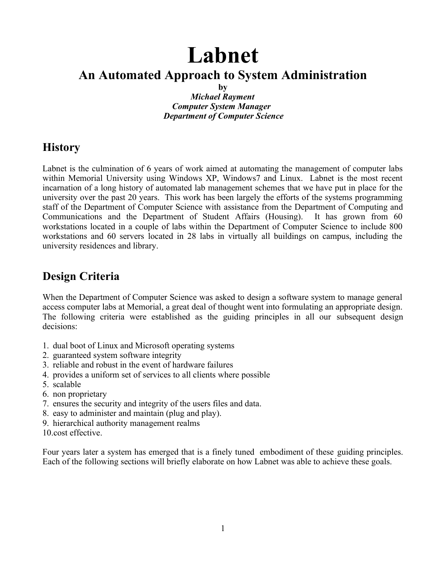# **Labnet**

## **An Automated Approach to System Administration**

**by**

*Michael Rayment Computer System Manager Department of Computer Science*

## **History**

Labnet is the culmination of 6 years of work aimed at automating the management of computer labs within Memorial University using Windows XP, Windows7 and Linux. Labnet is the most recent incarnation of a long history of automated lab management schemes that we have put in place for the university over the past 20 years. This work has been largely the efforts of the systems programming staff of the Department of Computer Science with assistance from the Department of Computing and Communications and the Department of Student Affairs (Housing). It has grown from 60 workstations located in a couple of labs within the Department of Computer Science to include 800 workstations and 60 servers located in 28 labs in virtually all buildings on campus, including the university residences and library.

## **Design Criteria**

When the Department of Computer Science was asked to design a software system to manage general access computer labs at Memorial, a great deal of thought went into formulating an appropriate design. The following criteria were established as the guiding principles in all our subsequent design decisions:

- 1. dual boot of Linux and Microsoft operating systems
- 2. guaranteed system software integrity
- 3. reliable and robust in the event of hardware failures
- 4. provides a uniform set of services to all clients where possible
- 5. scalable
- 6. non proprietary
- 7. ensures the security and integrity of the users files and data.
- 8. easy to administer and maintain (plug and play).
- 9. hierarchical authority management realms
- 10.cost effective.

Four years later a system has emerged that is a finely tuned embodiment of these guiding principles. Each of the following sections will briefly elaborate on how Labnet was able to achieve these goals.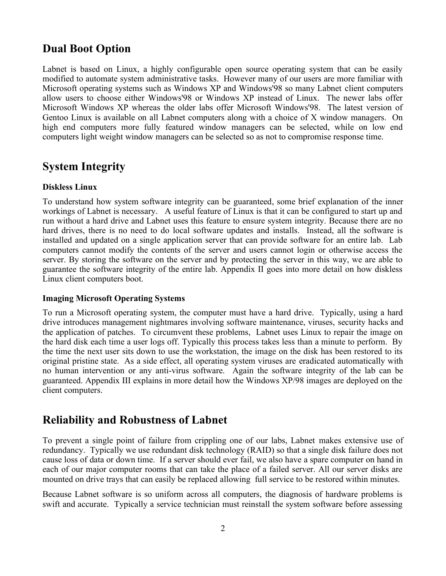## **Dual Boot Option**

Labnet is based on Linux, a highly configurable open source operating system that can be easily modified to automate system administrative tasks. However many of our users are more familiar with Microsoft operating systems such as Windows XP and Windows'98 so many Labnet client computers allow users to choose either Windows'98 or Windows XP instead of Linux. The newer labs offer Microsoft Windows XP whereas the older labs offer Microsoft Windows'98. The latest version of Gentoo Linux is available on all Labnet computers along with a choice of X window managers. On high end computers more fully featured window managers can be selected, while on low end computers light weight window managers can be selected so as not to compromise response time.

## **System Integrity**

#### **Diskless Linux**

To understand how system software integrity can be guaranteed, some brief explanation of the inner workings of Labnet is necessary. A useful feature of Linux is that it can be configured to start up and run without a hard drive and Labnet uses this feature to ensure system integrity. Because there are no hard drives, there is no need to do local software updates and installs. Instead, all the software is installed and updated on a single application server that can provide software for an entire lab. Lab computers cannot modify the contents of the server and users cannot login or otherwise access the server. By storing the software on the server and by protecting the server in this way, we are able to guarantee the software integrity of the entire lab. Appendix II goes into more detail on how diskless Linux client computers boot.

#### **Imaging Microsoft Operating Systems**

To run a Microsoft operating system, the computer must have a hard drive. Typically, using a hard drive introduces management nightmares involving software maintenance, viruses, security hacks and the application of patches. To circumvent these problems, Labnet uses Linux to repair the image on the hard disk each time a user logs off. Typically this process takes less than a minute to perform. By the time the next user sits down to use the workstation, the image on the disk has been restored to its original pristine state. As a side effect, all operating system viruses are eradicated automatically with no human intervention or any anti-virus software. Again the software integrity of the lab can be guaranteed. Appendix III explains in more detail how the Windows XP/98 images are deployed on the client computers.

### **Reliability and Robustness of Labnet**

To prevent a single point of failure from crippling one of our labs, Labnet makes extensive use of redundancy. Typically we use redundant disk technology (RAID) so that a single disk failure does not cause loss of data or down time. If a server should ever fail, we also have a spare computer on hand in each of our major computer rooms that can take the place of a failed server. All our server disks are mounted on drive trays that can easily be replaced allowing full service to be restored within minutes.

Because Labnet software is so uniform across all computers, the diagnosis of hardware problems is swift and accurate. Typically a service technician must reinstall the system software before assessing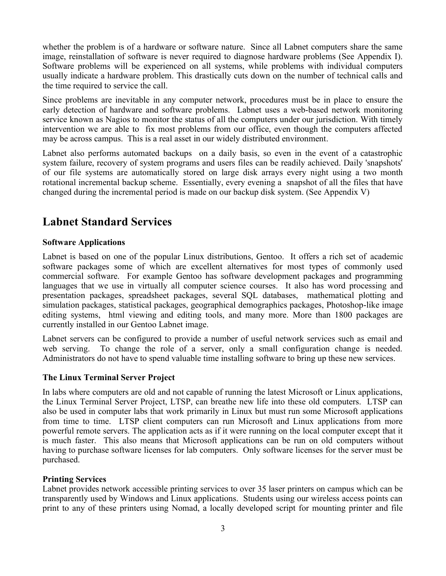whether the problem is of a hardware or software nature. Since all Labnet computers share the same image, reinstallation of software is never required to diagnose hardware problems (See Appendix I). Software problems will be experienced on all systems, while problems with individual computers usually indicate a hardware problem. This drastically cuts down on the number of technical calls and the time required to service the call.

Since problems are inevitable in any computer network, procedures must be in place to ensure the early detection of hardware and software problems. Labnet uses a web-based network monitoring service known as Nagios to monitor the status of all the computers under our jurisdiction. With timely intervention we are able to fix most problems from our office, even though the computers affected may be across campus. This is a real asset in our widely distributed environment.

Labnet also performs automated backups on a daily basis, so even in the event of a catastrophic system failure, recovery of system programs and users files can be readily achieved. Daily 'snapshots' of our file systems are automatically stored on large disk arrays every night using a two month rotational incremental backup scheme. Essentially, every evening a snapshot of all the files that have changed during the incremental period is made on our backup disk system. (See Appendix V)

## **Labnet Standard Services**

#### **Software Applications**

Labnet is based on one of the popular Linux distributions, Gentoo. It offers a rich set of academic software packages some of which are excellent alternatives for most types of commonly used commercial software. For example Gentoo has software development packages and programming languages that we use in virtually all computer science courses. It also has word processing and presentation packages, spreadsheet packages, several SQL databases, mathematical plotting and simulation packages, statistical packages, geographical demographics packages, Photoshop-like image editing systems, html viewing and editing tools, and many more. More than 1800 packages are currently installed in our Gentoo Labnet image.

Labnet servers can be configured to provide a number of useful network services such as email and web serving. To change the role of a server, only a small configuration change is needed. Administrators do not have to spend valuable time installing software to bring up these new services.

#### **The Linux Terminal Server Project**

In labs where computers are old and not capable of running the latest Microsoft or Linux applications, the Linux Terminal Server Project, LTSP, can breathe new life into these old computers. LTSP can also be used in computer labs that work primarily in Linux but must run some Microsoft applications from time to time. LTSP client computers can run Microsoft and Linux applications from more powerful remote servers. The application acts as if it were running on the local computer except that it is much faster. This also means that Microsoft applications can be run on old computers without having to purchase software licenses for lab computers. Only software licenses for the server must be purchased.

#### **Printing Services**

Labnet provides network accessible printing services to over 35 laser printers on campus which can be transparently used by Windows and Linux applications. Students using our wireless access points can print to any of these printers using Nomad, a locally developed script for mounting printer and file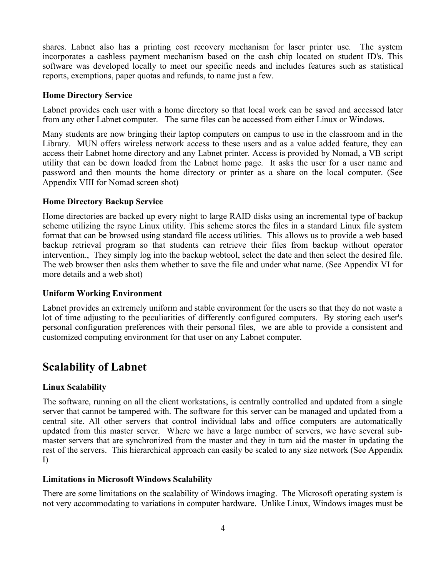shares. Labnet also has a printing cost recovery mechanism for laser printer use. The system incorporates a cashless payment mechanism based on the cash chip located on student ID's. This software was developed locally to meet our specific needs and includes features such as statistical reports, exemptions, paper quotas and refunds, to name just a few.

#### **Home Directory Service**

Labnet provides each user with a home directory so that local work can be saved and accessed later from any other Labnet computer. The same files can be accessed from either Linux or Windows.

Many students are now bringing their laptop computers on campus to use in the classroom and in the Library. MUN offers wireless network access to these users and as a value added feature, they can access their Labnet home directory and any Labnet printer. Access is provided by Nomad, a VB script utility that can be down loaded from the Labnet home page. It asks the user for a user name and password and then mounts the home directory or printer as a share on the local computer. (See Appendix VIII for Nomad screen shot)

#### **Home Directory Backup Service**

Home directories are backed up every night to large RAID disks using an incremental type of backup scheme utilizing the rsync Linux utility. This scheme stores the files in a standard Linux file system format that can be browsed using standard file access utilities. This allows us to provide a web based backup retrieval program so that students can retrieve their files from backup without operator intervention., They simply log into the backup webtool, select the date and then select the desired file. The web browser then asks them whether to save the file and under what name. (See Appendix VI for more details and a web shot)

#### **Uniform Working Environment**

Labnet provides an extremely uniform and stable environment for the users so that they do not waste a lot of time adjusting to the peculiarities of differently configured computers. By storing each user's personal configuration preferences with their personal files, we are able to provide a consistent and customized computing environment for that user on any Labnet computer.

### **Scalability of Labnet**

#### **Linux Scalability**

The software, running on all the client workstations, is centrally controlled and updated from a single server that cannot be tampered with. The software for this server can be managed and updated from a central site. All other servers that control individual labs and office computers are automatically updated from this master server. Where we have a large number of servers, we have several submaster servers that are synchronized from the master and they in turn aid the master in updating the rest of the servers. This hierarchical approach can easily be scaled to any size network (See Appendix I)

#### **Limitations in Microsoft Windows Scalability**

There are some limitations on the scalability of Windows imaging. The Microsoft operating system is not very accommodating to variations in computer hardware. Unlike Linux, Windows images must be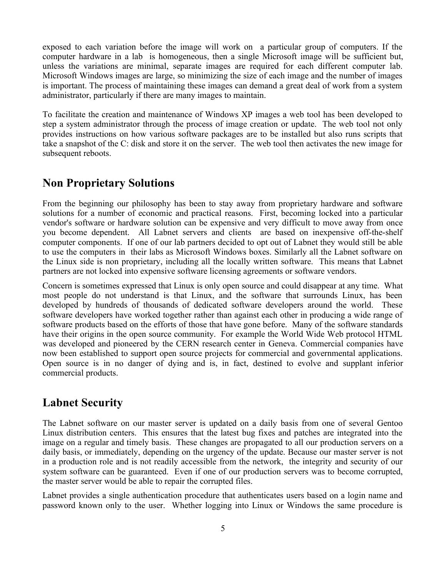exposed to each variation before the image will work on a particular group of computers. If the computer hardware in a lab is homogeneous, then a single Microsoft image will be sufficient but, unless the variations are minimal, separate images are required for each different computer lab. Microsoft Windows images are large, so minimizing the size of each image and the number of images is important. The process of maintaining these images can demand a great deal of work from a system administrator, particularly if there are many images to maintain.

To facilitate the creation and maintenance of Windows XP images a web tool has been developed to step a system administrator through the process of image creation or update. The web tool not only provides instructions on how various software packages are to be installed but also runs scripts that take a snapshot of the C: disk and store it on the server. The web tool then activates the new image for subsequent reboots.

#### **Non Proprietary Solutions**

From the beginning our philosophy has been to stay away from proprietary hardware and software solutions for a number of economic and practical reasons. First, becoming locked into a particular vendor's software or hardware solution can be expensive and very difficult to move away from once you become dependent. All Labnet servers and clients are based on inexpensive off-the-shelf computer components. If one of our lab partners decided to opt out of Labnet they would still be able to use the computers in their labs as Microsoft Windows boxes. Similarly all the Labnet software on the Linux side is non proprietary, including all the locally written software. This means that Labnet partners are not locked into expensive software licensing agreements or software vendors.

Concern is sometimes expressed that Linux is only open source and could disappear at any time. What most people do not understand is that Linux, and the software that surrounds Linux, has been developed by hundreds of thousands of dedicated software developers around the world. These software developers have worked together rather than against each other in producing a wide range of software products based on the efforts of those that have gone before. Many of the software standards have their origins in the open source community. For example the World Wide Web protocol HTML was developed and pioneered by the CERN research center in Geneva. Commercial companies have now been established to support open source projects for commercial and governmental applications. Open source is in no danger of dying and is, in fact, destined to evolve and supplant inferior commercial products.

### **Labnet Security**

The Labnet software on our master server is updated on a daily basis from one of several Gentoo Linux distribution centers. This ensures that the latest bug fixes and patches are integrated into the image on a regular and timely basis. These changes are propagated to all our production servers on a daily basis, or immediately, depending on the urgency of the update. Because our master server is not in a production role and is not readily accessible from the network, the integrity and security of our system software can be guaranteed. Even if one of our production servers was to become corrupted, the master server would be able to repair the corrupted files.

Labnet provides a single authentication procedure that authenticates users based on a login name and password known only to the user. Whether logging into Linux or Windows the same procedure is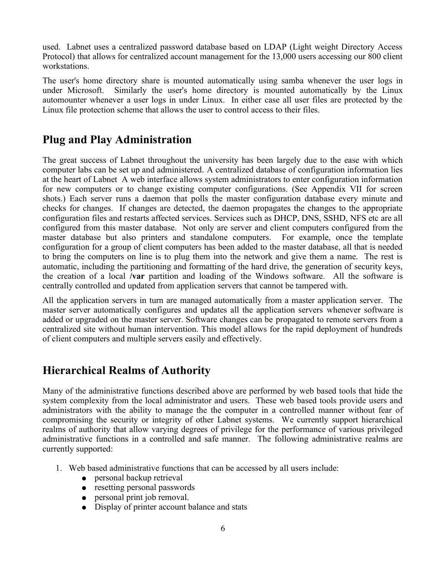used. Labnet uses a centralized password database based on LDAP (Light weight Directory Access Protocol) that allows for centralized account management for the 13,000 users accessing our 800 client workstations.

The user's home directory share is mounted automatically using samba whenever the user logs in under Microsoft. Similarly the user's home directory is mounted automatically by the Linux automounter whenever a user logs in under Linux. In either case all user files are protected by the Linux file protection scheme that allows the user to control access to their files.

### **Plug and Play Administration**

The great success of Labnet throughout the university has been largely due to the ease with which computer labs can be set up and administered. A centralized database of configuration information lies at the heart of Labnet A web interface allows system administrators to enter configuration information for new computers or to change existing computer configurations. (See Appendix VII for screen shots.) Each server runs a daemon that polls the master configuration database every minute and checks for changes. If changes are detected, the daemon propagates the changes to the appropriate configuration files and restarts affected services. Services such as DHCP, DNS, SSHD, NFS etc are all configured from this master database. Not only are server and client computers configured from the master database but also printers and standalone computers. For example, once the template configuration for a group of client computers has been added to the master database, all that is needed to bring the computers on line is to plug them into the network and give them a name. The rest is automatic, including the partitioning and formatting of the hard drive, the generation of security keys, the creation of a local **/var** partition and loading of the Windows software. All the software is centrally controlled and updated from application servers that cannot be tampered with.

All the application servers in turn are managed automatically from a master application server. The master server automatically configures and updates all the application servers whenever software is added or upgraded on the master server. Software changes can be propagated to remote servers from a centralized site without human intervention. This model allows for the rapid deployment of hundreds of client computers and multiple servers easily and effectively.

### **Hierarchical Realms of Authority**

Many of the administrative functions described above are performed by web based tools that hide the system complexity from the local administrator and users. These web based tools provide users and administrators with the ability to manage the the computer in a controlled manner without fear of compromising the security or integrity of other Labnet systems. We currently support hierarchical realms of authority that allow varying degrees of privilege for the performance of various privileged administrative functions in a controlled and safe manner. The following administrative realms are currently supported:

- 1. Web based administrative functions that can be accessed by all users include:
	- personal backup retrieval
	- resetting personal passwords
	- personal print job removal.
	- Display of printer account balance and stats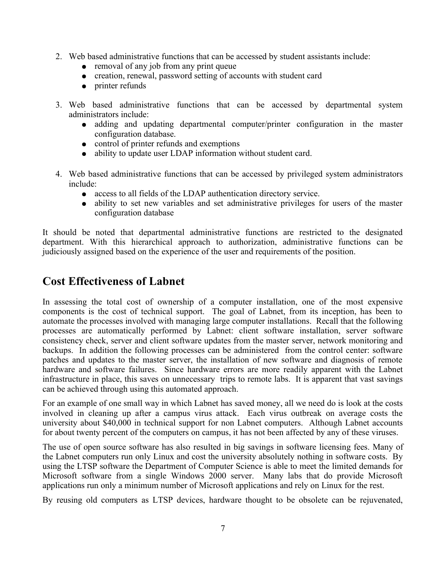- 2. Web based administrative functions that can be accessed by student assistants include:
	- removal of any job from any print queue
	- creation, renewal, password setting of accounts with student card
	- printer refunds
- 3. Web based administrative functions that can be accessed by departmental system administrators include:
	- adding and updating departmental computer/printer configuration in the master configuration database.
	- control of printer refunds and exemptions
	- ability to update user LDAP information without student card.
- 4. Web based administrative functions that can be accessed by privileged system administrators include:
	- access to all fields of the LDAP authentication directory service.
	- ability to set new variables and set administrative privileges for users of the master configuration database

It should be noted that departmental administrative functions are restricted to the designated department. With this hierarchical approach to authorization, administrative functions can be judiciously assigned based on the experience of the user and requirements of the position.

#### **Cost Effectiveness of Labnet**

In assessing the total cost of ownership of a computer installation, one of the most expensive components is the cost of technical support. The goal of Labnet, from its inception, has been to automate the processes involved with managing large computer installations. Recall that the following processes are automatically performed by Labnet: client software installation, server software consistency check, server and client software updates from the master server, network monitoring and backups. In addition the following processes can be administered from the control center: software patches and updates to the master server, the installation of new software and diagnosis of remote hardware and software failures. Since hardware errors are more readily apparent with the Labnet infrastructure in place, this saves on unnecessary trips to remote labs. It is apparent that vast savings can be achieved through using this automated approach.

For an example of one small way in which Labnet has saved money, all we need do is look at the costs involved in cleaning up after a campus virus attack. Each virus outbreak on average costs the university about \$40,000 in technical support for non Labnet computers. Although Labnet accounts for about twenty percent of the computers on campus, it has not been affected by any of these viruses.

The use of open source software has also resulted in big savings in software licensing fees. Many of the Labnet computers run only Linux and cost the university absolutely nothing in software costs. By using the LTSP software the Department of Computer Science is able to meet the limited demands for Microsoft software from a single Windows 2000 server. Many labs that do provide Microsoft applications run only a minimum number of Microsoft applications and rely on Linux for the rest.

By reusing old computers as LTSP devices, hardware thought to be obsolete can be rejuvenated,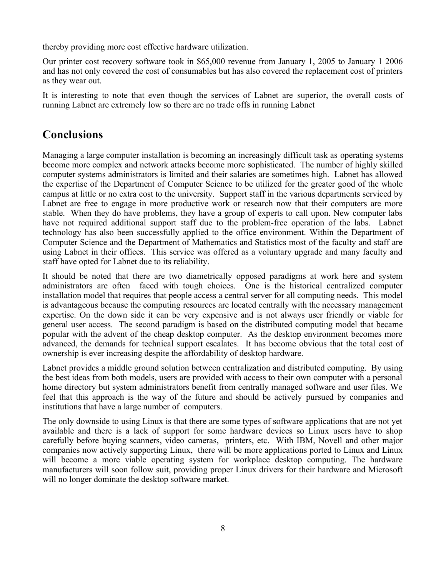thereby providing more cost effective hardware utilization.

Our printer cost recovery software took in \$65,000 revenue from January 1, 2005 to January 1 2006 and has not only covered the cost of consumables but has also covered the replacement cost of printers as they wear out.

It is interesting to note that even though the services of Labnet are superior, the overall costs of running Labnet are extremely low so there are no trade offs in running Labnet

### **Conclusions**

Managing a large computer installation is becoming an increasingly difficult task as operating systems become more complex and network attacks become more sophisticated. The number of highly skilled computer systems administrators is limited and their salaries are sometimes high. Labnet has allowed the expertise of the Department of Computer Science to be utilized for the greater good of the whole campus at little or no extra cost to the university. Support staff in the various departments serviced by Labnet are free to engage in more productive work or research now that their computers are more stable. When they do have problems, they have a group of experts to call upon. New computer labs have not required additional support staff due to the problem-free operation of the labs. Labnet technology has also been successfully applied to the office environment. Within the Department of Computer Science and the Department of Mathematics and Statistics most of the faculty and staff are using Labnet in their offices. This service was offered as a voluntary upgrade and many faculty and staff have opted for Labnet due to its reliability.

It should be noted that there are two diametrically opposed paradigms at work here and system administrators are often faced with tough choices. One is the historical centralized computer installation model that requires that people access a central server for all computing needs. This model is advantageous because the computing resources are located centrally with the necessary management expertise. On the down side it can be very expensive and is not always user friendly or viable for general user access. The second paradigm is based on the distributed computing model that became popular with the advent of the cheap desktop computer. As the desktop environment becomes more advanced, the demands for technical support escalates. It has become obvious that the total cost of ownership is ever increasing despite the affordability of desktop hardware.

Labnet provides a middle ground solution between centralization and distributed computing. By using the best ideas from both models, users are provided with access to their own computer with a personal home directory but system administrators benefit from centrally managed software and user files. We feel that this approach is the way of the future and should be actively pursued by companies and institutions that have a large number of computers.

The only downside to using Linux is that there are some types of software applications that are not yet available and there is a lack of support for some hardware devices so Linux users have to shop carefully before buying scanners, video cameras, printers, etc. With IBM, Novell and other major companies now actively supporting Linux, there will be more applications ported to Linux and Linux will become a more viable operating system for workplace desktop computing. The hardware manufacturers will soon follow suit, providing proper Linux drivers for their hardware and Microsoft will no longer dominate the desktop software market.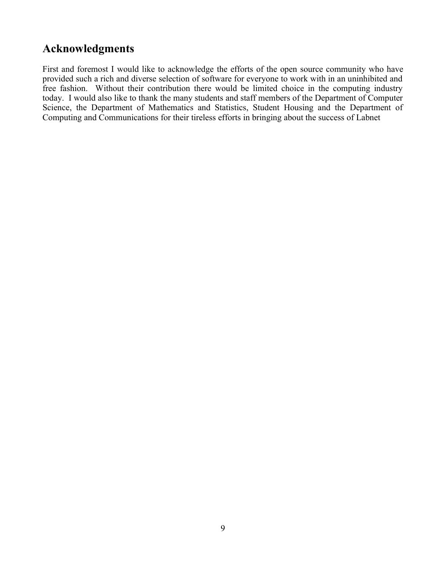### **Acknowledgments**

First and foremost I would like to acknowledge the efforts of the open source community who have provided such a rich and diverse selection of software for everyone to work with in an uninhibited and free fashion. Without their contribution there would be limited choice in the computing industry today. I would also like to thank the many students and staff members of the Department of Computer Science, the Department of Mathematics and Statistics, Student Housing and the Department of Computing and Communications for their tireless efforts in bringing about the success of Labnet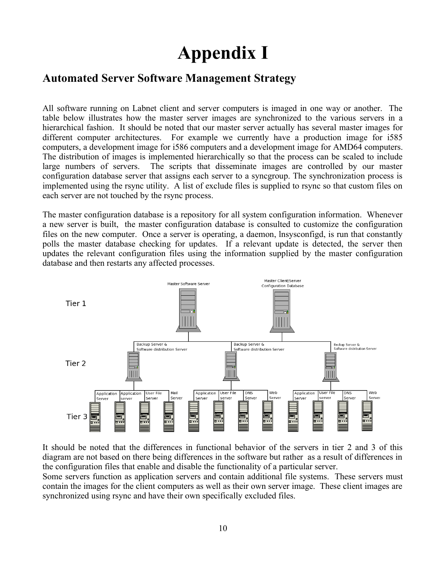# **Appendix I**

### **Automated Server Software Management Strategy**

All software running on Labnet client and server computers is imaged in one way or another. The table below illustrates how the master server images are synchronized to the various servers in a hierarchical fashion. It should be noted that our master server actually has several master images for different computer architectures. For example we currently have a production image for i585 computers, a development image for i586 computers and a development image for AMD64 computers. The distribution of images is implemented hierarchically so that the process can be scaled to include large numbers of servers. The scripts that disseminate images are controlled by our master configuration database server that assigns each server to a syncgroup. The synchronization process is implemented using the rsync utility. A list of exclude files is supplied to rsync so that custom files on each server are not touched by the rsync process.

The master configuration database is a repository for all system configuration information. Whenever a new server is built, the master configuration database is consulted to customize the configuration files on the new computer. Once a server is operating, a daemon, lnsysconfigd, is run that constantly polls the master database checking for updates. If a relevant update is detected, the server then updates the relevant configuration files using the information supplied by the master configuration database and then restarts any affected processes.



It should be noted that the differences in functional behavior of the servers in tier 2 and 3 of this diagram are not based on there being differences in the software but rather as a result of differences in the configuration files that enable and disable the functionality of a particular server.

Some servers function as application servers and contain additional file systems. These servers must contain the images for the client computers as well as their own server image. These client images are synchronized using rsync and have their own specifically excluded files.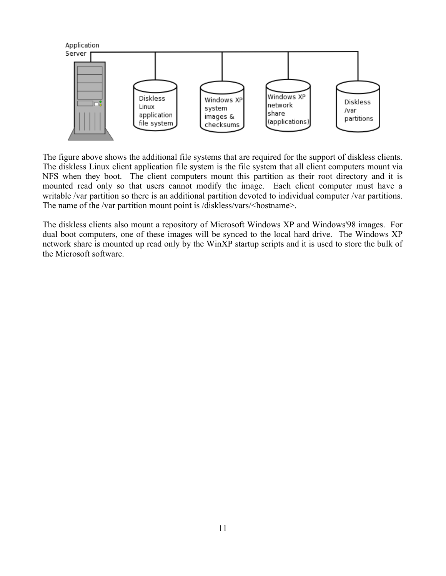

The figure above shows the additional file systems that are required for the support of diskless clients. The diskless Linux client application file system is the file system that all client computers mount via NFS when they boot. The client computers mount this partition as their root directory and it is mounted read only so that users cannot modify the image. Each client computer must have a writable /var partition so there is an additional partition devoted to individual computer /var partitions. The name of the /var partition mount point is /diskless/vars/<hostname>.

The diskless clients also mount a repository of Microsoft Windows XP and Windows'98 images. For dual boot computers, one of these images will be synced to the local hard drive. The Windows XP network share is mounted up read only by the WinXP startup scripts and it is used to store the bulk of the Microsoft software.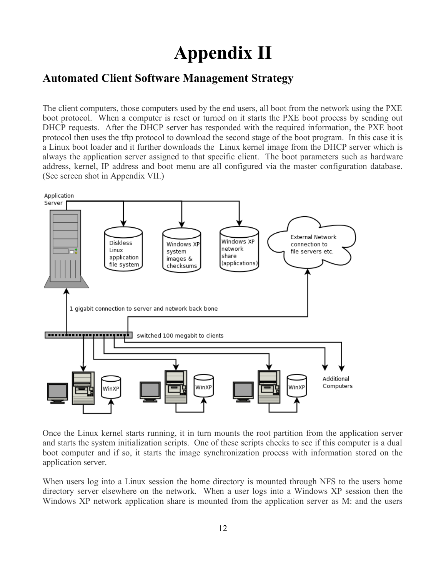# **Appendix II**

#### **Automated Client Software Management Strategy**

The client computers, those computers used by the end users, all boot from the network using the PXE boot protocol. When a computer is reset or turned on it starts the PXE boot process by sending out DHCP requests. After the DHCP server has responded with the required information, the PXE boot protocol then uses the tftp protocol to download the second stage of the boot program. In this case it is a Linux boot loader and it further downloads the Linux kernel image from the DHCP server which is always the application server assigned to that specific client. The boot parameters such as hardware address, kernel, IP address and boot menu are all configured via the master configuration database. (See screen shot in Appendix VII.)



Once the Linux kernel starts running, it in turn mounts the root partition from the application server and starts the system initialization scripts. One of these scripts checks to see if this computer is a dual boot computer and if so, it starts the image synchronization process with information stored on the application server.

When users log into a Linux session the home directory is mounted through NFS to the users home directory server elsewhere on the network. When a user logs into a Windows XP session then the Windows XP network application share is mounted from the application server as M: and the users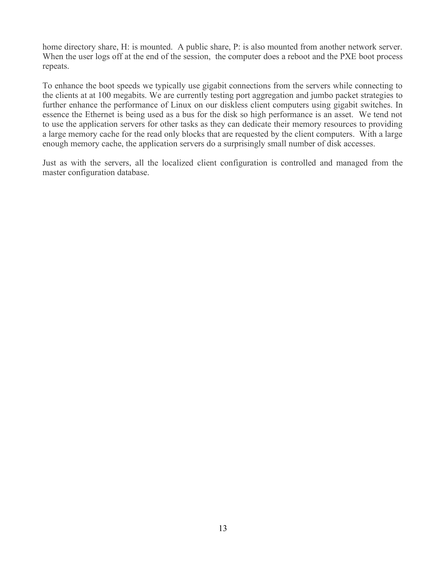home directory share, H: is mounted. A public share, P: is also mounted from another network server. When the user logs off at the end of the session, the computer does a reboot and the PXE boot process repeats.

To enhance the boot speeds we typically use gigabit connections from the servers while connecting to the clients at at 100 megabits. We are currently testing port aggregation and jumbo packet strategies to further enhance the performance of Linux on our diskless client computers using gigabit switches. In essence the Ethernet is being used as a bus for the disk so high performance is an asset. We tend not to use the application servers for other tasks as they can dedicate their memory resources to providing a large memory cache for the read only blocks that are requested by the client computers. With a large enough memory cache, the application servers do a surprisingly small number of disk accesses.

Just as with the servers, all the localized client configuration is controlled and managed from the master configuration database.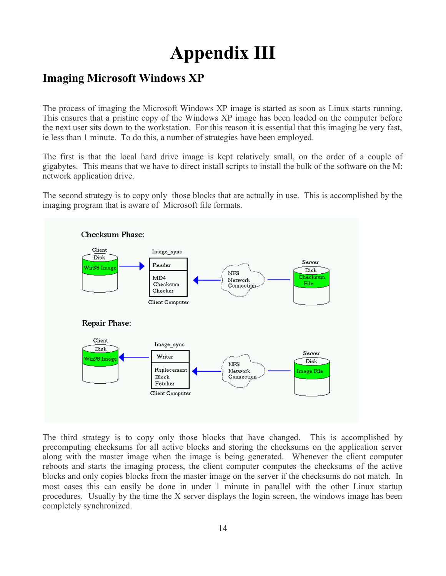# **Appendix III**

## **Imaging Microsoft Windows XP**

The process of imaging the Microsoft Windows XP image is started as soon as Linux starts running. This ensures that a pristine copy of the Windows XP image has been loaded on the computer before the next user sits down to the workstation. For this reason it is essential that this imaging be very fast, ie less than 1 minute. To do this, a number of strategies have been employed.

The first is that the local hard drive image is kept relatively small, on the order of a couple of gigabytes. This means that we have to direct install scripts to install the bulk of the software on the M: network application drive.

The second strategy is to copy only those blocks that are actually in use. This is accomplished by the imaging program that is aware of Microsoft file formats.



The third strategy is to copy only those blocks that have changed. This is accomplished by precomputing checksums for all active blocks and storing the checksums on the application server along with the master image when the image is being generated. Whenever the client computer reboots and starts the imaging process, the client computer computes the checksums of the active blocks and only copies blocks from the master image on the server if the checksums do not match. In most cases this can easily be done in under 1 minute in parallel with the other Linux startup procedures. Usually by the time the X server displays the login screen, the windows image has been completely synchronized.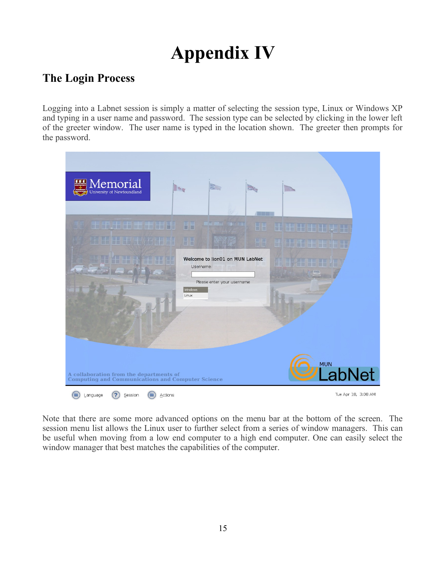# **Appendix IV**

## **The Login Process**

Logging into a Labnet session is simply a matter of selecting the session type, Linux or Windows XP and typing in a user name and password. The session type can be selected by clicking in the lower left of the greeter window. The user name is typed in the location shown. The greeter then prompts for the password.



Note that there are some more advanced options on the menu bar at the bottom of the screen. The session menu list allows the Linux user to further select from a series of window managers. This can be useful when moving from a low end computer to a high end computer. One can easily select the window manager that best matches the capabilities of the computer.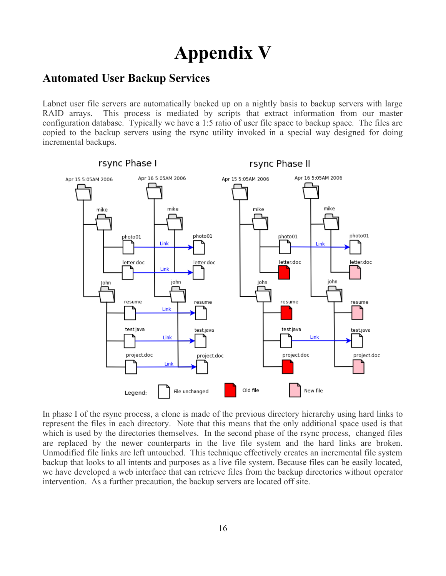# **Appendix V**

### **Automated User Backup Services**

Labnet user file servers are automatically backed up on a nightly basis to backup servers with large RAID arrays. This process is mediated by scripts that extract information from our master configuration database. Typically we have a 1:5 ratio of user file space to backup space. The files are copied to the backup servers using the rsync utility invoked in a special way designed for doing incremental backups.



In phase I of the rsync process, a clone is made of the previous directory hierarchy using hard links to represent the files in each directory. Note that this means that the only additional space used is that which is used by the directories themselves. In the second phase of the rsync process, changed files are replaced by the newer counterparts in the live file system and the hard links are broken. Unmodified file links are left untouched. This technique effectively creates an incremental file system backup that looks to all intents and purposes as a live file system. Because files can be easily located, we have developed a web interface that can retrieve files from the backup directories without operator intervention. As a further precaution, the backup servers are located off site.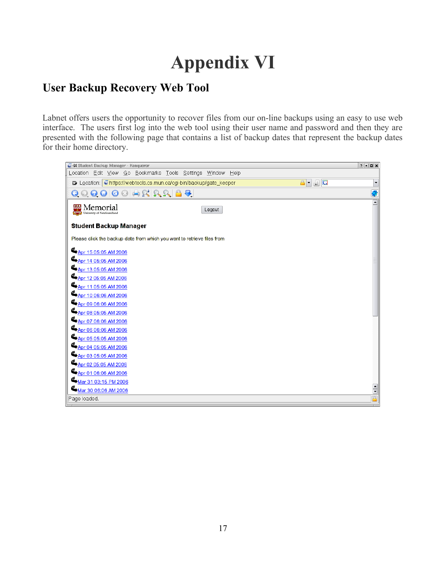# **Appendix VI**

## **User Backup Recovery Web Tool**

Labnet offers users the opportunity to recover files from our on-line backups using an easy to use web interface. The users first log into the web tool using their user name and password and then they are presented with the following page that contains a list of backup dates that represent the backup dates for their home directory.

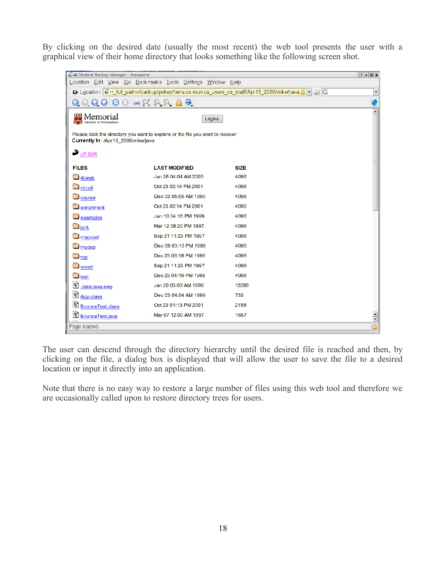By clicking on the desired date (usually the most recent) the web tool presents the user with a graphical view of their home directory that looks something like the following screen shot.

| 4 Student Backup Manager - Konqueror                                                                                        |                      |             |                      |  |  |  |  |
|-----------------------------------------------------------------------------------------------------------------------------|----------------------|-------------|----------------------|--|--|--|--|
| Location Edit View Go Bookmarks Tools Settings Window Help                                                                  |                      |             |                      |  |  |  |  |
| <b>B</b> Location: <b>O</b> rr_full_path=/backup/pokey/terra.cs.mun.ca_users_cs_staff/Apr15_2006/mike/java A v - D <b>C</b> |                      |             |                      |  |  |  |  |
| 0000000000000                                                                                                               |                      |             |                      |  |  |  |  |
| Memorial<br>Logout<br>University of Newfoundlan                                                                             |                      |             |                      |  |  |  |  |
| Please click the directory you want to explore or the file you want to recover<br>Currently In: /Apr15 2006/mike/java       |                      |             |                      |  |  |  |  |
| <b>D</b> <sub>UP DIR</sub>                                                                                                  |                      |             |                      |  |  |  |  |
| <b>FILES</b>                                                                                                                | <b>LAST MODIFIED</b> | <b>SIZE</b> |                      |  |  |  |  |
| <b>D</b> Alweb                                                                                                              | Jan 26 04:04 AM 2005 | 4096        |                      |  |  |  |  |
| <b>C</b> circuit                                                                                                            | Oct 23 02:14 PM 2001 | 4096        |                      |  |  |  |  |
| <b>O</b> course                                                                                                             | Dec 03 05:05 AM 1999 | 4096        |                      |  |  |  |  |
| <b>O</b> enrichment                                                                                                         | Oct 23 02:14 PM 2001 | 4096        |                      |  |  |  |  |
| <b>O</b> examples                                                                                                           | Jan 10 04:16 PM 1999 | 4096        |                      |  |  |  |  |
| $\square$ junk                                                                                                              | Mar 12 08:20 PM 1997 | 4096        |                      |  |  |  |  |
| <b>O</b> mapcad                                                                                                             | Sep 21 11:23 PM 1997 | 4096        |                      |  |  |  |  |
| $\Box$ mucep                                                                                                                | Dec 09 03:15 PM 1996 | 4096        |                      |  |  |  |  |
| $\Box$ rcp                                                                                                                  | Dec 23 06:18 PM 1996 | 4096        |                      |  |  |  |  |
| <b>Somart</b>                                                                                                               | Sep 21 11:23 PM 1997 | 4096        |                      |  |  |  |  |
| <u> ධ test</u>                                                                                                              | Dec 23 04:16 PM 1996 | 4096        |                      |  |  |  |  |
| B<br>.date.java.swp                                                                                                         | Jan 20 03:03 AM 1999 | 12288       |                      |  |  |  |  |
| B<br>App.class                                                                                                              | Dec 03 04:04 AM 1999 | 733         |                      |  |  |  |  |
| BounceText.class                                                                                                            | Oct 23 01:13 PM 2001 | 2188        |                      |  |  |  |  |
| BounceText.java                                                                                                             | Mar 07 12:00 AM 1997 | 1657        | $\frac{1}{\sqrt{2}}$ |  |  |  |  |
| $\triangle$<br>Page loaded.                                                                                                 |                      |             |                      |  |  |  |  |

The user can descend through the directory hierarchy until the desired file is reached and then, by clicking on the file, a dialog box is displayed that will allow the user to save the file to a desired location or input it directly into an application.

Note that there is no easy way to restore a large number of files using this web tool and therefore we are occasionally called upon to restore directory trees for users.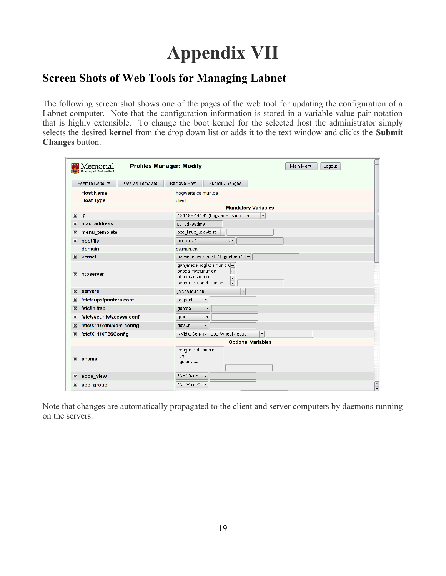# **Appendix VII**

## **Screen Shots of Web Tools for Managing Labnet**

The following screen shot shows one of the pages of the web tool for updating the configuration of a Labnet computer. Note that the configuration information is stored in a variable value pair notation that is highly extensible. To change the boot kernel for the selected host the administrator simply selects the desired **kernel** from the drop down list or adds it to the text window and clicks the **Submit Changes** button.

|                           | Memorial                   |                 | <b>Profiles Manager: Modify</b>                                  |                                                   | Main Menu                  | ◚<br>Logout          |
|---------------------------|----------------------------|-----------------|------------------------------------------------------------------|---------------------------------------------------|----------------------------|----------------------|
|                           | Restore Defaults           | Use as Template | Remove Host                                                      | Submit Changes                                    |                            |                      |
|                           | <b>Host Name</b>           |                 | hogwarts.cs.mun.ca                                               |                                                   |                            |                      |
|                           | <b>Host Type</b>           |                 | client                                                           |                                                   |                            |                      |
|                           |                            |                 |                                                                  |                                                   | <b>Mandatory Variables</b> |                      |
| $\overline{\mathbf{x}}$   | ip                         |                 |                                                                  | 134.153.49.191 (hogwarts.cs.mun.ca)               | $\blacktriangledown$       |                      |
| $\mathbf{\overline{X}}$   | mac_address                |                 | 0013d49adfd9                                                     |                                                   |                            |                      |
| $\boldsymbol{\mathsf{x}}$ | menu_template              |                 | pxe_linux_udevtest                                               | $\overline{\phantom{0}}$                          |                            |                      |
| $\vert x \vert$           | bootfile                   |                 | pxelinux.0                                                       | $\vert$                                           |                            |                      |
|                           | domain                     |                 | cs.mun.ca                                                        |                                                   |                            |                      |
| $\overline{\mathbf{x}}$   | kernel                     |                 |                                                                  | bzImage.noarch-2.6.15-gentoo-r1                   | $\blacktriangledown$       |                      |
| $\overline{\mathbf{x}}$   | ntpserver                  |                 | pascal.math.mun.ca<br>phobos.cs.mun.ca<br>sapphire.resnet.mun.ca | ganymede.pcglabs.mun.ca -<br>$\frac{1}{\sqrt{2}}$ |                            |                      |
| $\vert x \vert$           | servers                    |                 | jon.cs.mun.ca                                                    | $\overline{\phantom{a}}$                          |                            |                      |
|                           | letclcups/printers.conf    |                 | csgradlj                                                         | $\blacktriangledown$                              |                            |                      |
| $\overline{\mathbf{x}}$   | <b><i>Ietclinittab</i></b> |                 | gentoo                                                           | $\blacktriangledown$                              |                            |                      |
|                           | letclsecuritylaccess.conf  |                 | grad                                                             | $\blacktriangledown$                              |                            |                      |
| $\mathbf{x}$              | letclX11/xdm/xdm-config    |                 | default                                                          | $\left  \rule{0pt}{10pt} \right.$                 |                            |                      |
| $\mathbf{\times}$         | letclX11/XF86Config        |                 |                                                                  | NVidia-Sony17-1280-WheelMouse                     | $\overline{\phantom{a}}$   |                      |
|                           | <b>Optional Variables</b>  |                 |                                                                  |                                                   |                            |                      |
| $\overline{\mathbf{x}}$   | cname                      |                 | cougar.math.mun.ca.<br>lion<br>tiger.my.com.                     |                                                   |                            |                      |
| $\boldsymbol{\varkappa}$  | apps_view                  |                 | *No Value*                                                       | $\blacktriangledown$                              |                            |                      |
| $\boldsymbol{\mathsf{x}}$ | app_group                  |                 | *No Value*                                                       | $\blacktriangledown$                              |                            | $\frac{1}{\sqrt{2}}$ |

Note that changes are automatically propagated to the client and server computers by daemons running on the servers.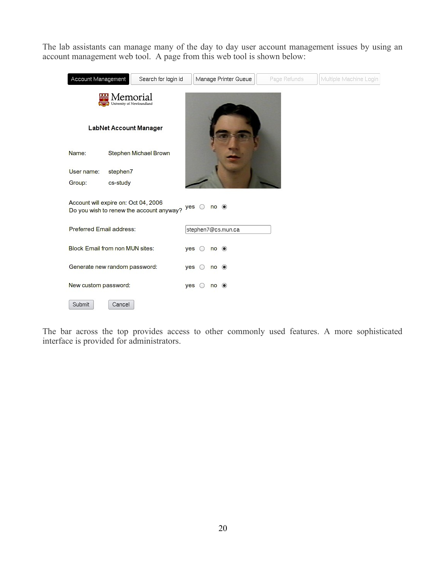The lab assistants can manage many of the day to day user account management issues by using an account management web tool. A page from this web tool is shown below:

| Account Management                     | Search for login id                      | Manage Printer Queue                                                           | Page Refunds | Multiple Machine Login |  |  |  |
|----------------------------------------|------------------------------------------|--------------------------------------------------------------------------------|--------------|------------------------|--|--|--|
| Memorial<br>University of Newfoundland |                                          |                                                                                |              |                        |  |  |  |
|                                        | LabNet Account Manager                   |                                                                                |              |                        |  |  |  |
| Name:                                  | Stephen Michael Brown                    |                                                                                |              |                        |  |  |  |
| User name:<br>stephen7                 |                                          |                                                                                |              |                        |  |  |  |
| cs-study<br>Group:                     |                                          |                                                                                |              |                        |  |  |  |
| Account will expire on: Oct 04, 2006   | Do you wish to renew the account anyway? | $\circledcirc$<br>yes<br>no                                                    |              |                        |  |  |  |
| Preferred Email address:               |                                          | stephen7@cs.mun.ca                                                             |              |                        |  |  |  |
| <b>Block Email from non MUN sites:</b> |                                          | $no$ $\odot$<br>yes<br>$\bigcirc$                                              |              |                        |  |  |  |
| Generate new random password:          |                                          | $\circledcirc$<br>yes<br>no<br>$\left( \begin{array}{c} 1 \end{array} \right)$ |              |                        |  |  |  |
| New custom password:                   |                                          | $no$ $\odot$<br>yes                                                            |              |                        |  |  |  |
| Submit<br>Cancel                       |                                          |                                                                                |              |                        |  |  |  |

The bar across the top provides access to other commonly used features. A more sophisticated interface is provided for administrators.